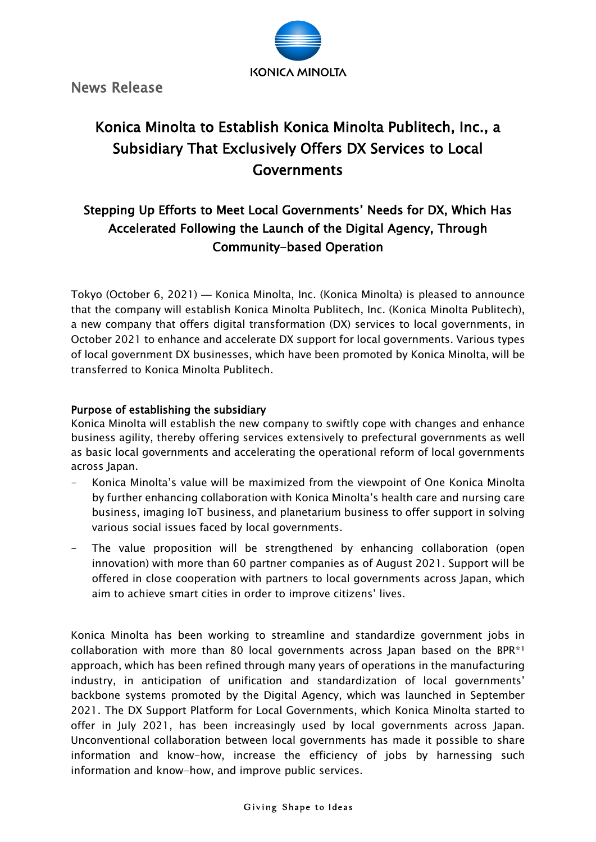**KONICA MINOLTA** 

News Release

# Konica Minolta to Establish Konica Minolta Publitech, Inc., a Subsidiary That Exclusively Offers DX Services to Local Governments

# Stepping Up Efforts to Meet Local Governments' Needs for DX, Which Has Accelerated Following the Launch of the Digital Agency, Through Community-based Operation

Tokyo (October 6, 2021) — Konica Minolta, Inc. (Konica Minolta) is pleased to announce that the company will establish Konica Minolta Publitech, Inc. (Konica Minolta Publitech), a new company that offers digital transformation (DX) services to local governments, in October 2021 to enhance and accelerate DX support for local governments. Various types of local government DX businesses, which have been promoted by Konica Minolta, will be transferred to Konica Minolta Publitech.

## Purpose of establishing the subsidiary

Konica Minolta will establish the new company to swiftly cope with changes and enhance business agility, thereby offering services extensively to prefectural governments as well as basic local governments and accelerating the operational reform of local governments across Japan.

- Konica Minolta's value will be maximized from the viewpoint of One Konica Minolta by further enhancing collaboration with Konica Minolta's health care and nursing care business, imaging IoT business, and planetarium business to offer support in solving various social issues faced by local governments.
- The value proposition will be strengthened by enhancing collaboration (open innovation) with more than 60 partner companies as of August 2021. Support will be offered in close cooperation with partners to local governments across Japan, which aim to achieve smart cities in order to improve citizens' lives.

Konica Minolta has been working to streamline and standardize government jobs in collaboration with more than 80 local governments across Japan based on the BPR $*1$ approach, which has been refined through many years of operations in the manufacturing industry, in anticipation of unification and standardization of local governments' backbone systems promoted by the Digital Agency, which was launched in September 2021. The DX Support Platform for Local Governments, which Konica Minolta started to offer in July 2021, has been increasingly used by local governments across Japan. Unconventional collaboration between local governments has made it possible to share information and know-how, increase the efficiency of jobs by harnessing such information and know-how, and improve public services.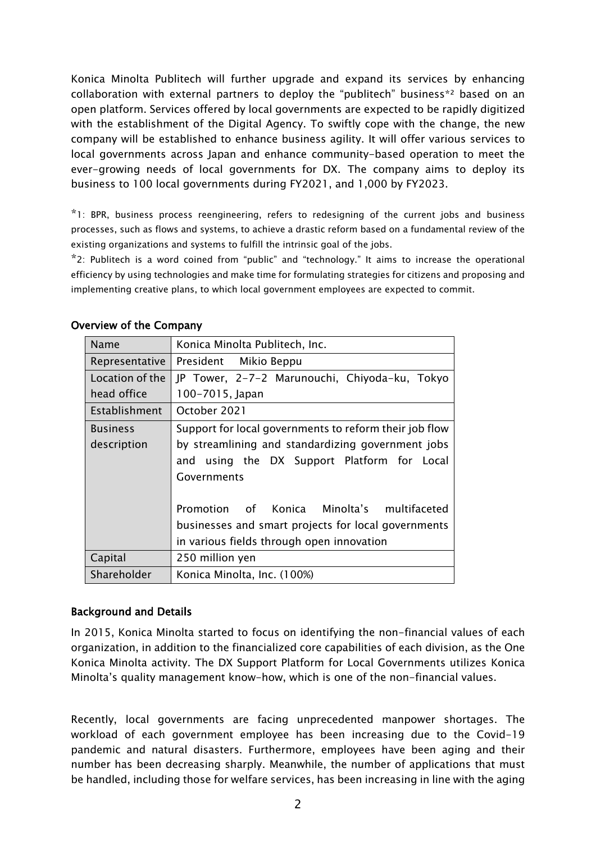Konica Minolta Publitech will further upgrade and expand its services by enhancing collaboration with external partners to deploy the "publitech" business\*² based on an open platform. Services offered by local governments are expected to be rapidly digitized with the establishment of the Digital Agency. To swiftly cope with the change, the new company will be established to enhance business agility. It will offer various services to local governments across Japan and enhance community-based operation to meet the ever-growing needs of local governments for DX. The company aims to deploy its business to 100 local governments during FY2021, and 1,000 by FY2023.

\*1: BPR, business process reengineering, refers to redesigning of the current jobs and business processes, such as flows and systems, to achieve a drastic reform based on a fundamental review of the existing organizations and systems to fulfill the intrinsic goal of the jobs.

\*2: Publitech is a word coined from "public" and "technology." It aims to increase the operational efficiency by using technologies and make time for formulating strategies for citizens and proposing and implementing creative plans, to which local government employees are expected to commit.

| Name            | Konica Minolta Publitech, Inc.                         |
|-----------------|--------------------------------------------------------|
| Representative  | President Mikio Beppu                                  |
| Location of the | JP Tower, 2-7-2 Marunouchi, Chiyoda-ku, Tokyo          |
| head office     | 100-7015, Japan                                        |
| Establishment   | October 2021                                           |
| <b>Business</b> | Support for local governments to reform their job flow |
| description     | by streamlining and standardizing government jobs      |
|                 | and using the DX Support Platform for Local            |
|                 | Governments                                            |
|                 |                                                        |
|                 | Promotion of Konica Minolta's multifaceted             |
|                 | businesses and smart projects for local governments    |
|                 | in various fields through open innovation              |
| Capital         | 250 million yen                                        |
| Shareholder     | Konica Minolta, Inc. (100%)                            |

#### Overview of the Company

### Background and Details

In 2015, Konica Minolta started to focus on identifying the non-financial values of each organization, in addition to the financialized core capabilities of each division, as the One Konica Minolta activity. The DX Support Platform for Local Governments utilizes Konica Minolta's quality management know-how, which is one of the non-financial values.

Recently, local governments are facing unprecedented manpower shortages. The workload of each government employee has been increasing due to the Covid-19 pandemic and natural disasters. Furthermore, employees have been aging and their number has been decreasing sharply. Meanwhile, the number of applications that must be handled, including those for welfare services, has been increasing in line with the aging